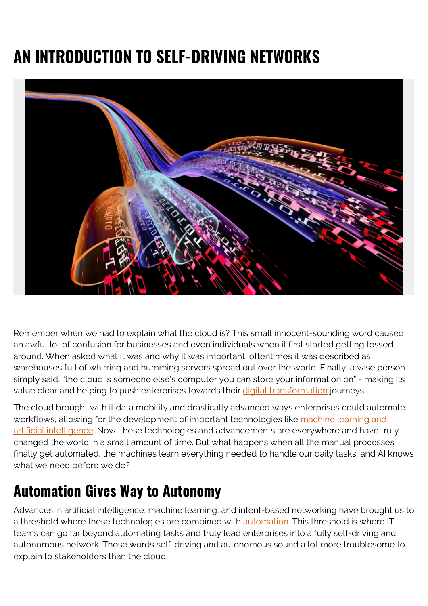# **AN INTRODUCTION TO SELF-DRIVING NETWORKS**



Remember when we had to explain what the cloud is? This small innocent-sounding word caused an awful lot of confusion for businesses and even individuals when it first started getting tossed around. When asked what it was and why it was important, oftentimes it was described as warehouses full of whirring and humming servers spread out over the world. Finally, a wise person simply said, "the cloud is someone else's computer you can store your information on" - making its value clear and helping to push enterprises towards their [digital transformation](https://blogs.bmc.com/blogs/what-is-digital-transformation/) journeys.

The cloud brought with it data mobility and drastically advanced ways enterprises could automate workflows, allowing for the development of important technologies like [machine learning and](https://blogs.bmc.com/blogs/machine-learning-data-science-artificial-intelligence-deep-learning-and-statistics/) [artificial intelligence.](https://blogs.bmc.com/blogs/machine-learning-data-science-artificial-intelligence-deep-learning-and-statistics/) Now, these technologies and advancements are everywhere and have truly changed the world in a small amount of time. But what happens when all the manual processes finally get automated, the machines learn everything needed to handle our daily tasks, and AI knows what we need before we do?

#### **Automation Gives Way to Autonomy**

Advances in artificial intelligence, machine learning, and intent-based networking have brought us to a threshold where these technologies are combined with [automation](https://blogs.bmc.com/blogs/it-automation/). This threshold is where IT teams can go far beyond automating tasks and truly lead enterprises into a fully self-driving and autonomous network. Those words self-driving and autonomous sound a lot more troublesome to explain to stakeholders than the cloud.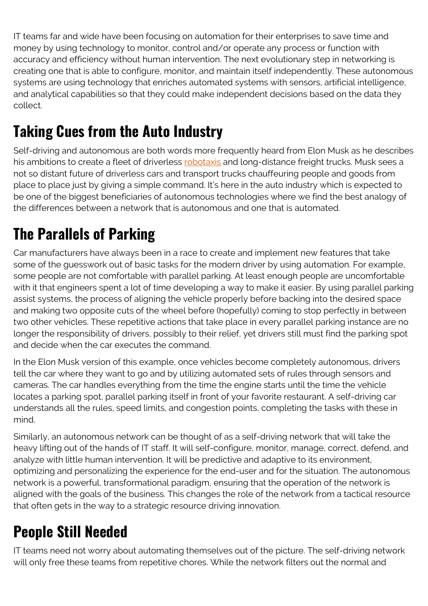IT teams far and wide have been focusing on automation for their enterprises to save time and money by using technology to monitor, control and/or operate any process or function with accuracy and efficiency without human intervention. The next evolutionary step in networking is creating one that is able to configure, monitor, and maintain itself independently. These autonomous systems are using technology that enriches automated systems with sensors, artificial intelligence, and analytical capabilities so that they could make independent decisions based on the data they collect.

## **Taking Cues from the Auto Industry**

Self-driving and autonomous are both words more frequently heard from Elon Musk as he describes his ambitions to create a fleet of driverless [robotaxis](https://www.cnbc.com/2019/04/22/elon-musk-says-tesla-robotaxis-will-hit-the-market-next-year.html) and long-distance freight trucks. Musk sees a not so distant future of driverless cars and transport trucks chauffeuring people and goods from place to place just by giving a simple command. It's here in the auto industry which is expected to be one of the biggest beneficiaries of autonomous technologies where we find the best analogy of the differences between a network that is autonomous and one that is automated.

## **The Parallels of Parking**

Car manufacturers have always been in a race to create and implement new features that take some of the guesswork out of basic tasks for the modern driver by using automation. For example, some people are not comfortable with parallel parking. At least enough people are uncomfortable with it that engineers spent a lot of time developing a way to make it easier. By using parallel parking assist systems, the process of aligning the vehicle properly before backing into the desired space and making two opposite cuts of the wheel before (hopefully) coming to stop perfectly in between two other vehicles. These repetitive actions that take place in every parallel parking instance are no longer the responsibility of drivers, possibly to their relief, yet drivers still must find the parking spot and decide when the car executes the command.

In the Elon Musk version of this example, once vehicles become completely autonomous, drivers tell the car where they want to go and by utilizing automated sets of rules through sensors and cameras. The car handles everything from the time the engine starts until the time the vehicle locates a parking spot, parallel parking itself in front of your favorite restaurant. A self-driving car understands all the rules, speed limits, and congestion points, completing the tasks with these in mind.

Similarly, an autonomous network can be thought of as a self-driving network that will take the heavy lifting out of the hands of IT staff. It will self-configure, monitor, manage, correct, defend, and analyze with little human intervention. It will be predictive and adaptive to its environment, optimizing and personalizing the experience for the end-user and for the situation. The autonomous network is a powerful, transformational paradigm, ensuring that the operation of the network is aligned with the goals of the business. This changes the role of the network from a tactical resource that often gets in the way to a strategic resource driving innovation.

## **People Still Needed**

IT teams need not worry about automating themselves out of the picture. The self-driving network will only free these teams from repetitive chores. While the network filters out the normal and